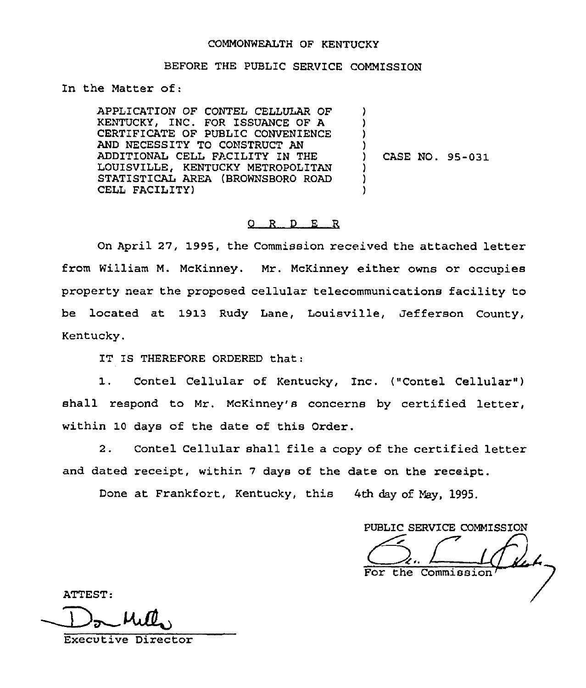## COMMONWEALTH OF KENTUCKY

## BEFORE THE PUBLIC SERVICE COMMISSION

In the Matter of:

APPLICATION OF CONTEL CELLULAR OF KENTUCKY, INC. FOR ISSUANCE OF A CERTIFICATE OF PUBLIC CONVENIENCE AND NECESSITY TO CONSTRUCT AN ADDITIONAL CELL FACILITY IN THE LOUISVILLE, KENTUCKY METROPOLITAN STATISTICAL AREA (BROWNSBORO ROAD CELL FACILITY) ) ) ) ) ) CASE NO. 95-031 ) ) )

## O R D E R

On April 27, 1995, the Commission received the attached letter from William M. McKinney. Mr. McKinney either owns or occupies property near the proposed cellular telecommunications facility to be located at 1913 Rudy Lane, Louisville, Jefferson County, Kentucky.

IT IS THEREFORE ORDERED that:

Contel Cellular of Kentucky, Inc. ("Contel Cellular")  $\mathfrak{1}$ . shall respond to Mr. McKinney's concerns by certified letter, within 10 days of the date of this Order.

2. Contel Cellular shall file a copy of the certified letter and dated receipt, within 7 days of the date on the receipt.

Done at Frankfort, Kentucky, this 4th day of May, 1995.

PUBLIC SERVICE COMMISSION For the Commission~

ATTEST:

Executive Director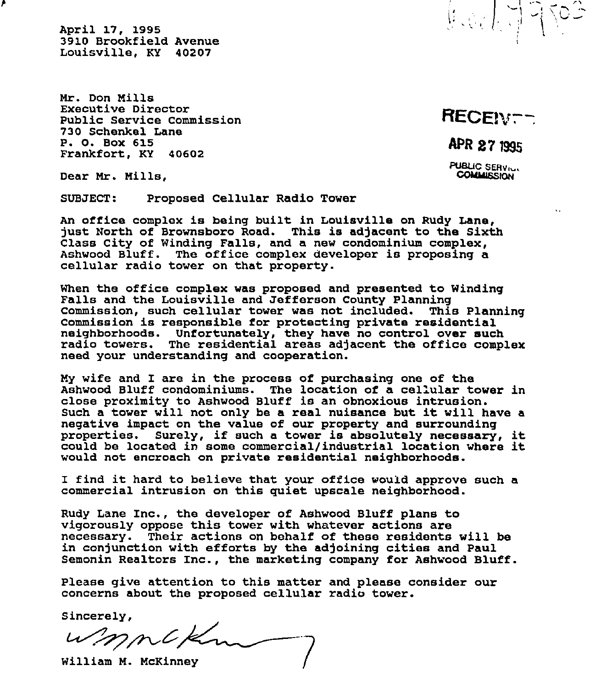April 17, 1995 3910 Brookfield Avenue Louisville, KY 40207

Mr. Don Mills Executive Director Public Service Commission 730 Schenkel Lane P. 0. Box 615 Frankfort, KY 40602

RECEN<sub>T</sub>-

 $\left(\begin{matrix} I_{\alpha} & \beta_{\alpha} \\ \beta_{\alpha} & \beta_{\alpha} \end{matrix}\right)$ 

APR 27 1995

PUBLIC SERVICE

 $\ddotsc$ 

Dear Mr. Mills,

SUBJECT: Proposed Cellular Radio Tower

An office complex is being built in Louisville on Rudy Lane, just North of Brownsboro Road. This is adjacent to the Sixth Class City of Winding Falls, and a new condominium complex, Ashwood Bluff. The office complex developer is proposing a cellular radio tower on that property.

When the office complex was proposed and presented to Winding Falls and the Louisville and Jefferson County Planning Commission, such cellular tower was not included. This Planning Commission, such certural cowel was not included. This Fig. neighborhoods. Unfortunately, they have no control over such radio towers. The residential areas adjacent the office complex need your understanding and cooperation.

My wife and I are in the process of purchasing one of the close proximity to Ashwood Bluff is an obnoxious intrusion. Such <sup>a</sup> tower will not only be <sup>a</sup> real nuisance but it will have <sup>a</sup> negative impact on the value of our property and surrounding properties. Surely, if such <sup>a</sup> tower is absolutely necessary, it could be located in some commercial/industrial location where it would not encroach on private residential neighborhoods.

I find it hard to believe that your office would approve such <sup>a</sup> commercial intrusion on this quiet upscale neighborhood.

Rudy Lane Inc., the developer of Ashwood Bluff plans to vigorously oppose this tower with whatever actions are necessary. Their actions on behalf of these residents will be in conjunction with efforts by the adjoining cities and Paul Semonin Realtors Inc., the marketing company for Ashwood Bluff.

Please give attention to this matter and please consider our concerns about the proposed cellular radio tower.

Sincerely,

 $w_{mn}$ 

William M. McKin